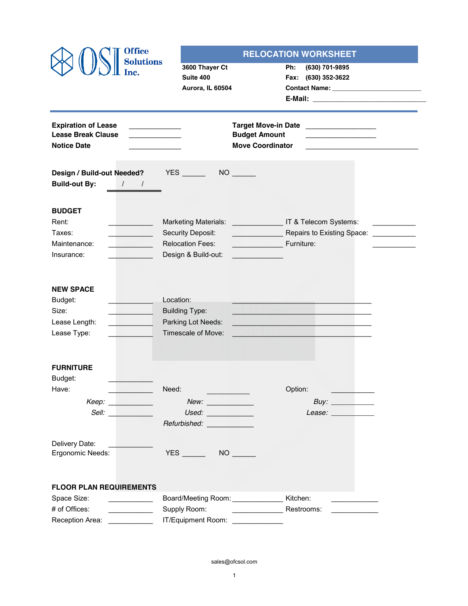| <b>Office</b>                                                                                                                                                                                                                                                                                                                                                                                   |                                                                                                         | <b>RELOCATION WORKSHEET</b>                                        |
|-------------------------------------------------------------------------------------------------------------------------------------------------------------------------------------------------------------------------------------------------------------------------------------------------------------------------------------------------------------------------------------------------|---------------------------------------------------------------------------------------------------------|--------------------------------------------------------------------|
| <b>Solutions</b>                                                                                                                                                                                                                                                                                                                                                                                | 3600 Thayer Ct                                                                                          | Ph:<br>(630) 701-9895                                              |
| Inc.                                                                                                                                                                                                                                                                                                                                                                                            | Suite 400                                                                                               | Fax: (630) 352-3622                                                |
|                                                                                                                                                                                                                                                                                                                                                                                                 | Aurora, IL 60504                                                                                        |                                                                    |
|                                                                                                                                                                                                                                                                                                                                                                                                 |                                                                                                         |                                                                    |
| <b>Expiration of Lease</b>                                                                                                                                                                                                                                                                                                                                                                      |                                                                                                         | <b>Target Move-in Date</b>                                         |
| <b>Lease Break Clause</b>                                                                                                                                                                                                                                                                                                                                                                       |                                                                                                         | <b>Budget Amount</b>                                               |
| <b>Notice Date</b>                                                                                                                                                                                                                                                                                                                                                                              |                                                                                                         | <b>Move Coordinator</b>                                            |
|                                                                                                                                                                                                                                                                                                                                                                                                 |                                                                                                         |                                                                    |
| Design / Build-out Needed?                                                                                                                                                                                                                                                                                                                                                                      |                                                                                                         |                                                                    |
| <b>Build-out By:</b><br>$\sqrt{1}$                                                                                                                                                                                                                                                                                                                                                              |                                                                                                         |                                                                    |
| <b>BUDGET</b>                                                                                                                                                                                                                                                                                                                                                                                   |                                                                                                         |                                                                    |
| Rent:                                                                                                                                                                                                                                                                                                                                                                                           |                                                                                                         | Marketing Materials: _______________________ IT & Telecom Systems: |
| Taxes:                                                                                                                                                                                                                                                                                                                                                                                          | Security Deposit:                                                                                       | Repairs to Existing Space: <u>____________</u>                     |
| Maintenance:<br>and the contract of the contract of                                                                                                                                                                                                                                                                                                                                             | <b>Relocation Fees:</b>                                                                                 | Furniture:<br><u>and a strong state</u>                            |
| Insurance:                                                                                                                                                                                                                                                                                                                                                                                      | Design & Build-out:                                                                                     |                                                                    |
|                                                                                                                                                                                                                                                                                                                                                                                                 |                                                                                                         |                                                                    |
| <b>NEW SPACE</b>                                                                                                                                                                                                                                                                                                                                                                                |                                                                                                         |                                                                    |
| Budget:                                                                                                                                                                                                                                                                                                                                                                                         | Location:                                                                                               |                                                                    |
| Size:                                                                                                                                                                                                                                                                                                                                                                                           | <b>Building Type:</b>                                                                                   |                                                                    |
| Lease Length:                                                                                                                                                                                                                                                                                                                                                                                   | Parking Lot Needs:                                                                                      |                                                                    |
| Lease Type:                                                                                                                                                                                                                                                                                                                                                                                     | Timescale of Move:                                                                                      |                                                                    |
|                                                                                                                                                                                                                                                                                                                                                                                                 |                                                                                                         |                                                                    |
| <b>FURNITURE</b>                                                                                                                                                                                                                                                                                                                                                                                |                                                                                                         |                                                                    |
| Budget:                                                                                                                                                                                                                                                                                                                                                                                         |                                                                                                         |                                                                    |
| Have:                                                                                                                                                                                                                                                                                                                                                                                           | Need:                                                                                                   | Option:                                                            |
| $Keep: \_\_\_\_\_\_\_\_\_\_\_\_\_\_\_\_\_\_\_\_\_\_\_\_\_\_\_\_\_\_\_\_$                                                                                                                                                                                                                                                                                                                        |                                                                                                         | Buy: $\qquad \qquad$                                               |
| Sell: <i>Sell</i> : <i>Sell</i> : <i>Sell</i> : <b>Sell</b> : <b>Sell</b> : <b>Sell</b> : <b>Sell</b> : <b>Sell</b> : <b>Sell</b> : <b>Sell</b> : <b>Sell</b> : <b>Sell</b> : <b>Sell</b> : <b>Sell</b> : <b>Sell</b> : <b>Sell</b> : <b>Sell</b> : <b>Sell</b> : <b>Sell</b> : <b>Sell</b> : <b>Sell</b> : <b>Sell</b> : <b>Sell</b> : <b>Sell</b> : <b>Sell</b> : <b>Sell</b> : <b>Sell</b> : | $Used: \begin{tabular}{ c c c } \hline \quad \quad & \quad \quad & \quad \quad \\ \hline \end{tabular}$ | Lease: ____________                                                |
|                                                                                                                                                                                                                                                                                                                                                                                                 | Refurbished: Network                                                                                    |                                                                    |
|                                                                                                                                                                                                                                                                                                                                                                                                 |                                                                                                         |                                                                    |
| Delivery Date:                                                                                                                                                                                                                                                                                                                                                                                  |                                                                                                         |                                                                    |
| Ergonomic Needs:                                                                                                                                                                                                                                                                                                                                                                                | <b>YES</b>                                                                                              |                                                                    |
|                                                                                                                                                                                                                                                                                                                                                                                                 |                                                                                                         |                                                                    |
| <b>FLOOR PLAN REQUIREMENTS</b>                                                                                                                                                                                                                                                                                                                                                                  |                                                                                                         |                                                                    |
| Space Size:<br><u>and</u> the state                                                                                                                                                                                                                                                                                                                                                             | Board/Meeting Room: ______________                                                                      | Kitchen:                                                           |
| # of Offices:                                                                                                                                                                                                                                                                                                                                                                                   | Supply Room:                                                                                            | Restrooms:<br>the company of the company of the                    |
| Reception Area: ____________                                                                                                                                                                                                                                                                                                                                                                    | IT/Equipment Room:                                                                                      |                                                                    |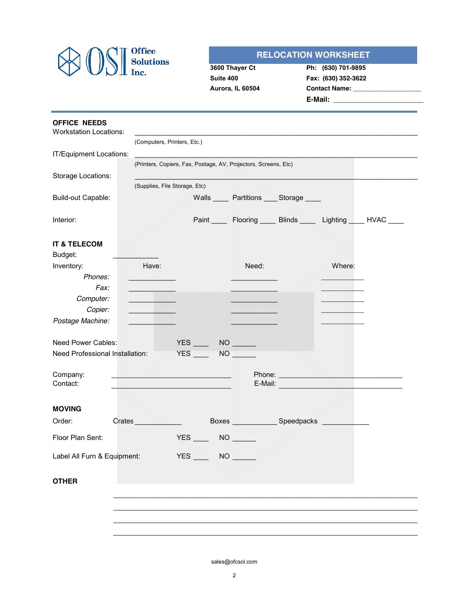

## **RELOCATION WORKSHEET**

| 3600 Thayer Ct   |
|------------------|
| Suite 400        |
| Aurora, IL 60504 |

**Ph: (630) 701-9895 Fax: (630) 352-3622 Contact Name: \_\_\_\_\_\_\_\_\_\_\_\_\_\_\_\_\_\_\_ E-Mail: \_\_\_\_\_\_\_\_\_\_\_\_\_\_\_\_\_\_\_\_\_\_\_\_\_\_\_\_**

| <b>OFFICE NEEDS</b><br><b>Workstation Locations:</b> |                                                          |                   |           |                                                                        |        |  |
|------------------------------------------------------|----------------------------------------------------------|-------------------|-----------|------------------------------------------------------------------------|--------|--|
|                                                      | (Computers, Printers, Etc.)                              |                   |           |                                                                        |        |  |
| IT/Equipment Locations:                              |                                                          |                   |           |                                                                        |        |  |
|                                                      |                                                          |                   |           | (Printers, Copiers, Fax, Postage, AV, Projectors, Screens, Etc)        |        |  |
| Storage Locations:                                   |                                                          |                   |           |                                                                        |        |  |
|                                                      | (Supplies, File Storage, Etc)                            |                   |           |                                                                        |        |  |
| Build-out Capable:                                   |                                                          |                   |           | Walls _____ Partitions ____ Storage ____                               |        |  |
| Interior:                                            |                                                          |                   |           | Paint _______ Flooring ______ Blinds _______ Lighting _____ HVAC _____ |        |  |
| <b>IT &amp; TELECOM</b><br>Budget:                   |                                                          |                   |           |                                                                        |        |  |
| Inventory:                                           | Have:                                                    |                   |           | Need:                                                                  | Where: |  |
| Phones:                                              |                                                          |                   |           |                                                                        |        |  |
| Fax:                                                 |                                                          |                   |           |                                                                        |        |  |
| Computer:                                            | <u> 1989 - John Barnett, fransk politik (</u>            |                   |           |                                                                        |        |  |
| Copier:                                              |                                                          |                   |           |                                                                        |        |  |
| Postage Machine:                                     |                                                          |                   |           |                                                                        |        |  |
| Need Power Cables:                                   |                                                          | $YES$ NO ______   |           |                                                                        |        |  |
| Need Professional Installation:                      |                                                          | $YES$ NO $\qquad$ |           |                                                                        |        |  |
|                                                      |                                                          |                   |           |                                                                        |        |  |
| Company:                                             | <u> 1950 - Johann John Stone, mars eta biztanleria (</u> |                   |           |                                                                        |        |  |
| Contact:                                             |                                                          |                   |           |                                                                        |        |  |
|                                                      |                                                          |                   |           |                                                                        |        |  |
| <b>MOVING</b>                                        |                                                          |                   |           |                                                                        |        |  |
| Order:                                               | Crates <u>and</u>                                        |                   |           | Boxes Speedpacks Speedware                                             |        |  |
| Floor Plan Sent:                                     |                                                          | $YES$ NO $\qquad$ |           |                                                                        |        |  |
| Label All Furn & Equipment:                          |                                                          | <b>YES</b>        | <b>NO</b> |                                                                        |        |  |
|                                                      |                                                          |                   |           |                                                                        |        |  |
| <b>OTHER</b>                                         |                                                          |                   |           |                                                                        |        |  |
|                                                      |                                                          |                   |           |                                                                        |        |  |
|                                                      |                                                          |                   |           |                                                                        |        |  |
|                                                      |                                                          |                   |           |                                                                        |        |  |
|                                                      |                                                          |                   |           |                                                                        |        |  |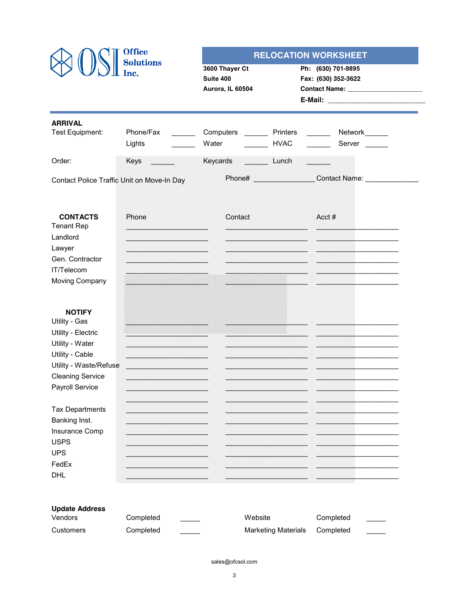|                                                                                                                                                                    | <b>Office</b><br><b>Solutions</b>                                |                                                 |                            | <b>RELOCATION WORKSHEET</b>               |  |
|--------------------------------------------------------------------------------------------------------------------------------------------------------------------|------------------------------------------------------------------|-------------------------------------------------|----------------------------|-------------------------------------------|--|
|                                                                                                                                                                    | Inc.                                                             | 3600 Thayer Ct<br>Suite 400<br>Aurora, IL 60504 |                            | Ph: (630) 701-9895<br>Fax: (630) 352-3622 |  |
| <b>ARRIVAL</b><br>Test Equipment:                                                                                                                                  | Phone/Fax<br>$\mathcal{L}(\mathcal{L}(\mathcal{L}))$ .<br>Lights | Computers ________ Printers<br>Water            | <b>HVAC</b>                | Network______<br>$\frac{1}{2}$<br>Server  |  |
| Order:                                                                                                                                                             | Keys                                                             | Keycards                                        | Lunch                      |                                           |  |
| Contact Police Traffic Unit on Move-In Day                                                                                                                         |                                                                  |                                                 |                            | Contact Name: ______________              |  |
| <b>CONTACTS</b><br><b>Tenant Rep</b><br>Landlord<br>Lawyer<br>Gen. Contractor<br>IT/Telecom<br>Moving Company                                                      | Phone                                                            | Contact                                         |                            | $Acct \#$                                 |  |
| <b>NOTIFY</b><br>Utility - Gas<br>Utility - Electric<br>Utility - Water<br>Utility - Cable<br>Utility - Waste/Refuse<br><b>Cleaning Service</b><br>Payroll Service |                                                                  |                                                 |                            |                                           |  |
| <b>Tax Departments</b><br>Banking Inst.<br>Insurance Comp<br><b>USPS</b><br><b>UPS</b><br>FedEx<br><b>DHL</b>                                                      |                                                                  |                                                 |                            |                                           |  |
| <b>Update Address</b><br>Vendors<br>Customers                                                                                                                      | Completed<br>Completed                                           | Website                                         | <b>Marketing Materials</b> | Completed<br>Completed                    |  |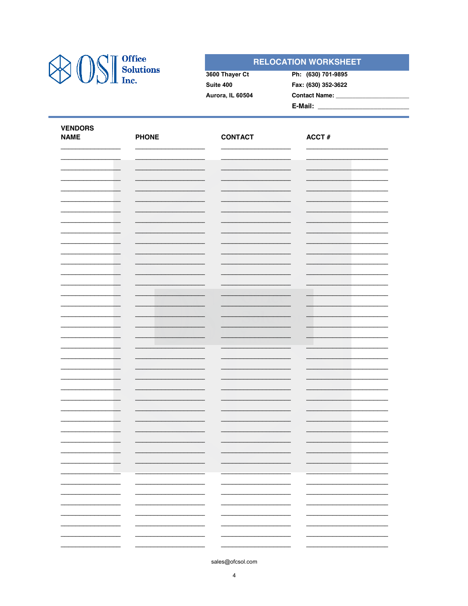

## **RELOCATION WORKSHEET**

| 3600 Thayer Ct   | Ph: (630) 701-9895   |  |
|------------------|----------------------|--|
| Suite 400        | Fax: (630) 352-3622  |  |
| Aurora, IL 60504 | <b>Contact Name:</b> |  |
|                  | E-Mail:              |  |

| <b>VENDORS</b><br><b>NAME</b> | <b>PHONE</b>             | <b>CONTACT</b>           | ACCT $#$                 |
|-------------------------------|--------------------------|--------------------------|--------------------------|
|                               |                          |                          |                          |
|                               |                          |                          |                          |
|                               |                          |                          |                          |
|                               |                          |                          |                          |
|                               |                          |                          |                          |
|                               |                          |                          |                          |
|                               |                          |                          |                          |
|                               |                          |                          |                          |
|                               |                          |                          |                          |
|                               |                          |                          |                          |
|                               |                          |                          |                          |
|                               |                          |                          |                          |
|                               |                          |                          |                          |
|                               |                          |                          |                          |
|                               |                          |                          |                          |
|                               |                          |                          |                          |
|                               |                          |                          |                          |
|                               |                          |                          |                          |
|                               |                          |                          |                          |
|                               |                          |                          |                          |
|                               |                          |                          |                          |
|                               |                          |                          |                          |
|                               |                          |                          |                          |
|                               |                          |                          |                          |
|                               |                          |                          |                          |
|                               |                          |                          |                          |
|                               |                          |                          |                          |
|                               |                          |                          |                          |
|                               | -                        | Ξ,                       | -                        |
|                               | -                        | Ξ.                       | ÷.                       |
| $\overline{\phantom{0}}$      | $\overline{\phantom{0}}$ | $\overline{\phantom{0}}$ | $\overline{\phantom{0}}$ |
|                               | -<br>-                   | -<br>-                   |                          |
|                               |                          |                          |                          |
|                               |                          |                          |                          |